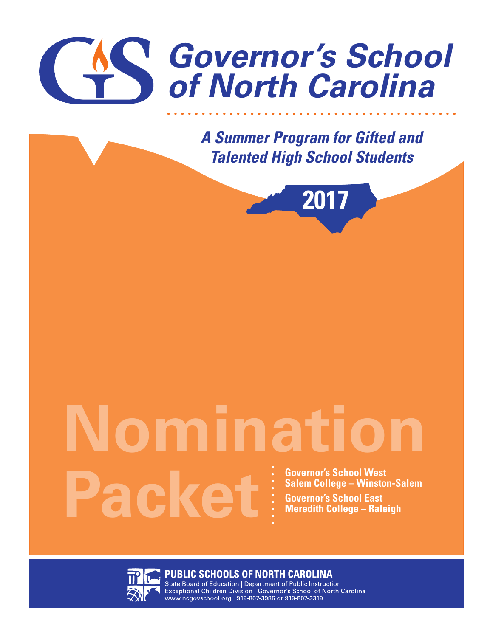

*A Summer Program for Gifted and Talented High School Students*



# **Governor's School West Salem College – Winston-Salem Governor's School East Meredith College – Raleigh Nomination Packet**



**PUBLIC SCHOOLS OF NORTH CAROLINA**<br>State Board of Education | Department of Public Instruction Exceptional Children Division | Governor's School of North Carolina www.ncgovschool.org | 919-807-3986 or 919-807-3319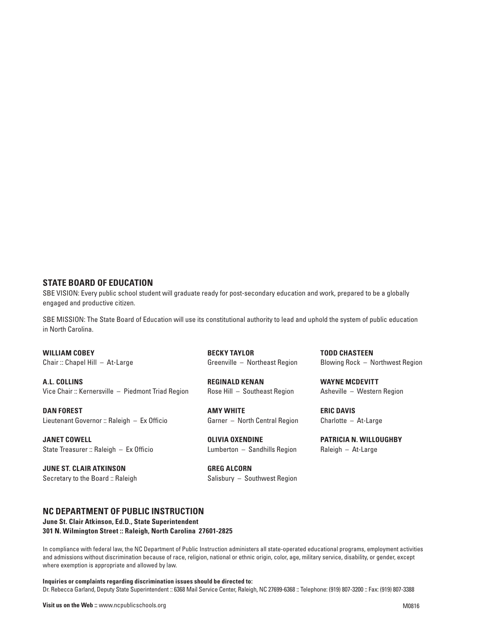#### **STATE BOARD OF EDUCATION**

SBE VISION: Every public school student will graduate ready for post-secondary education and work, prepared to be a globally engaged and productive citizen.

SBE MISSION: The State Board of Education will use its constitutional authority to lead and uphold the system of public education in North Carolina.

**WILLIAM COBEY** Chair :: Chapel Hill – At-Large

**A.L. COLLINS** Vice Chair :: Kernersville – Piedmont Triad Region

**DAN FOREST** Lieutenant Governor :: Raleigh – Ex Officio

**JANET COWELL** State Treasurer :: Raleigh – Ex Officio

**JUNE ST. CLAIR ATKINSON** Secretary to the Board :: Raleigh

**BECKY TAYLOR** Greenville – Northeast Region

**REGINALD KENAN** Rose Hill – Southeast Region

**AMY WHITE** Garner – North Central Region

**OLIVIA OXENDINE** Lumberton – Sandhills Region

**GREG ALCORN** Salisbury – Southwest Region **TODD CHASTEEN** Blowing Rock – Northwest Region

**WAYNE MCDEVITT** Asheville – Western Region

**ERIC DAVIS** Charlotte – At-Large

**PATRICIA N. WILLOUGHBY** Raleigh – At-Large

#### **NC DEPARTMENT OF PUBLIC INSTRUCTION**

**June St. Clair Atkinson, Ed.D., State Superintendent 301 N. Wilmington Street :: Raleigh, North Carolina 27601-2825** 

In compliance with federal law, the NC Department of Public Instruction administers all state-operated educational programs, employment activities and admissions without discrimination because of race, religion, national or ethnic origin, color, age, military service, disability, or gender, except where exemption is appropriate and allowed by law.

**Inquiries or complaints regarding discrimination issues should be directed to:** Dr. Rebecca Garland, Deputy State Superintendent :: 6368 Mail Service Center, Raleigh, NC 27699-6368 :: Telephone: (919) 807-3200 :: Fax: (919) 807-3388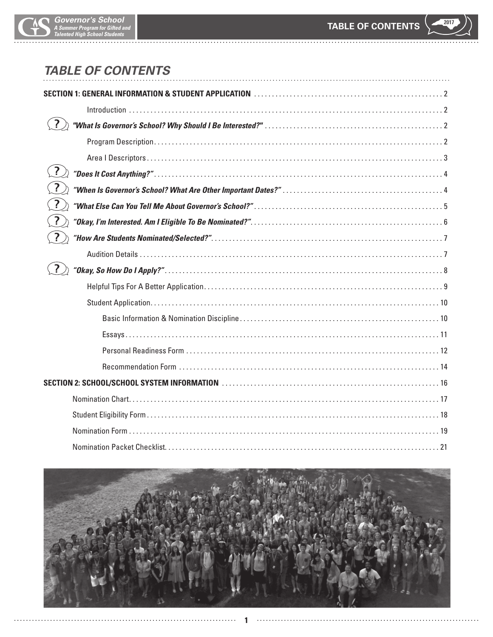

# *TABLE OF CONTENTS*

| $\left  \cdot \right\rangle$ |  |
|------------------------------|--|
|                              |  |
| $\overline{?}$               |  |
|                              |  |
| $\overline{?}$               |  |
|                              |  |
| $\overline{?}$               |  |
|                              |  |
|                              |  |
|                              |  |
|                              |  |
|                              |  |
|                              |  |
|                              |  |
|                              |  |
|                              |  |
|                              |  |
|                              |  |

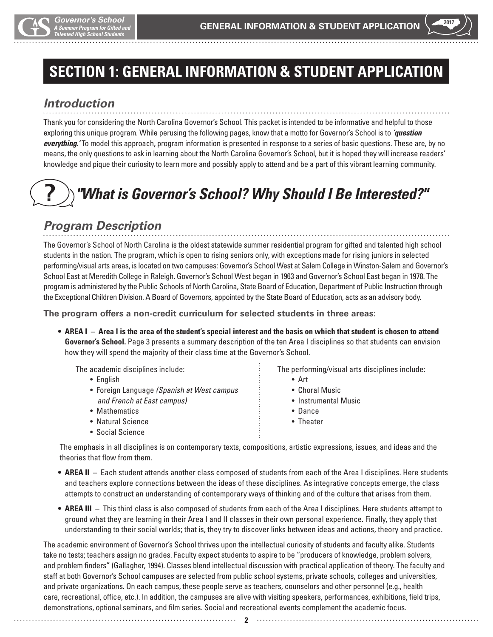

# **SECTION 1: GENERAL INFORMATION & STUDENT APPLICATION**

# *Introduction*

Thank you for considering the North Carolina Governor's School. This packet is intended to be informative and helpful to those exploring this unique program. While perusing the following pages, know that a motto for Governor's School is to *'question everything.'* To model this approach, program information is presented in response to a series of basic questions. These are, by no means, the only questions to ask in learning about the North Carolina Governor's School, but it is hoped they will increase readers' knowledge and pique their curiosity to learn more and possibly apply to attend and be a part of this vibrant learning community.

#### *"What is Governor's School? Why Should I Be Interested?"* **?**

# *Program Description*

The Governor's School of North Carolina is the oldest statewide summer residential program for gifted and talented high school students in the nation. The program, which is open to rising seniors only, with exceptions made for rising juniors in selected performing/visual arts areas, is located on two campuses: Governor's School West at Salem College in Winston-Salem and Governor's School East at Meredith College in Raleigh. Governor's School West began in 1963 and Governor's School East began in 1978. The program is administered by the Public Schools of North Carolina, State Board of Education, Department of Public Instruction through the Exceptional Children Division. A Board of Governors, appointed by the State Board of Education, acts as an advisory body.

**The program offers a non-credit curriculum for selected students in three areas:**

**• AREA I – Area I is the area of the student's special interest and the basis on which that student is chosen to attend Governor's School.** Page 3 presents a summary description of the ten Area I disciplines so that students can envision how they will spend the majority of their class time at the Governor's School.

The academic disciplines include:

- English
- Foreign Language *(Spanish at West campus and French at East campus)*
- Mathematics
- Natural Science
- Social Science

The performing/visual arts disciplines include:

- Art
- Choral Music
- Instrumental Music
- Dance
- Theater

 The emphasis in all disciplines is on contemporary texts, compositions, artistic expressions, issues, and ideas and the theories that flow from them.

- **AREA II** Each student attends another class composed of students from each of the Area I disciplines. Here students and teachers explore connections between the ideas of these disciplines. As integrative concepts emerge, the class attempts to construct an understanding of contemporary ways of thinking and of the culture that arises from them.
- **AREA III** This third class is also composed of students from each of the Area I disciplines. Here students attempt to ground what they are learning in their Area I and II classes in their own personal experience. Finally, they apply that understanding to their social worlds; that is, they try to discover links between ideas and actions, theory and practice.

The academic environment of Governor's School thrives upon the intellectual curiosity of students and faculty alike. Students take no tests; teachers assign no grades. Faculty expect students to aspire to be "producers of knowledge, problem solvers, and problem finders" (Gallagher, 1994). Classes blend intellectual discussion with practical application of theory. The faculty and staff at both Governor's School campuses are selected from public school systems, private schools, colleges and universities, and private organizations. On each campus, these people serve as teachers, counselors and other personnel (e.g., health care, recreational, office, etc.). In addition, the campuses are alive with visiting speakers, performances, exhibitions, field trips, demonstrations, optional seminars, and film series. Social and recreational events complement the academic focus.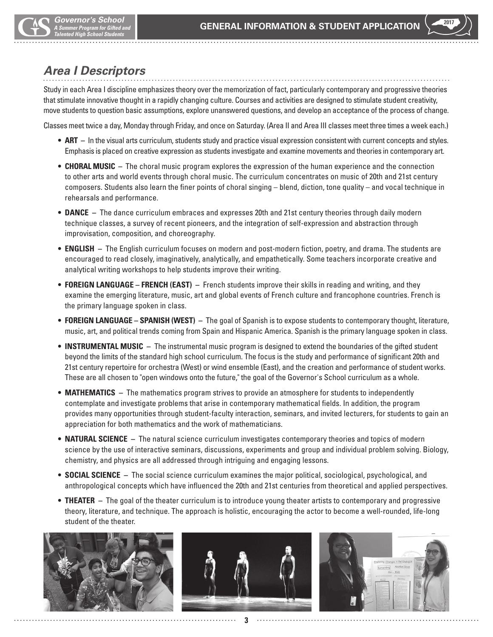# *Area I Descriptors*

Study in each Area I discipline emphasizes theory over the memorization of fact, particularly contemporary and progressive theories that stimulate innovative thought in a rapidly changing culture. Courses and activities are designed to stimulate student creativity, move students to question basic assumptions, explore unanswered questions, and develop an acceptance of the process of change.

Classes meet twice a day, Monday through Friday, and once on Saturday. (Area II and Area III classes meet three times a week each.)

- **ART** In the visual arts curriculum, students study and practice visual expression consistent with current concepts and styles. Emphasis is placed on creative expression as students investigate and examine movements and theories in contemporary art.
- **CHORAL MUSIC** The choral music program explores the expression of the human experience and the connection to other arts and world events through choral music. The curriculum concentrates on music of 20th and 21st century composers. Students also learn the finer points of choral singing – blend, diction, tone quality – and vocal technique in rehearsals and performance.
- **DANCE** The dance curriculum embraces and expresses 20th and 21st century theories through daily modern technique classes, a survey of recent pioneers, and the integration of self-expression and abstraction through improvisation, composition, and choreography.
- **ENGLISH** The English curriculum focuses on modern and post-modern fiction, poetry, and drama. The students are encouraged to read closely, imaginatively, analytically, and empathetically. Some teachers incorporate creative and analytical writing workshops to help students improve their writing.
- **FOREIGN LANGUAGE FRENCH (EAST)** French students improve their skills in reading and writing, and they examine the emerging literature, music, art and global events of French culture and francophone countries. French is the primary language spoken in class.
- **FOREIGN LANGUAGE SPANISH (WEST)** The goal of Spanish is to expose students to contemporary thought, literature, music, art, and political trends coming from Spain and Hispanic America. Spanish is the primary language spoken in class.
- **INSTRUMENTAL MUSIC** The instrumental music program is designed to extend the boundaries of the gifted student beyond the limits of the standard high school curriculum. The focus is the study and performance of significant 20th and 21st century repertoire for orchestra (West) or wind ensemble (East), and the creation and performance of student works. These are all chosen to "open windows onto the future," the goal of the Governor's School curriculum as a whole.
- **MATHEMATICS** The mathematics program strives to provide an atmosphere for students to independently contemplate and investigate problems that arise in contemporary mathematical fields. In addition, the program provides many opportunities through student-faculty interaction, seminars, and invited lecturers, for students to gain an appreciation for both mathematics and the work of mathematicians.
- **NATURAL SCIENCE** The natural science curriculum investigates contemporary theories and topics of modern science by the use of interactive seminars, discussions, experiments and group and individual problem solving. Biology, chemistry, and physics are all addressed through intriguing and engaging lessons.
- **SOCIAL SCIENCE** The social science curriculum examines the major political, sociological, psychological, and anthropological concepts which have influenced the 20th and 21st centuries from theoretical and applied perspectives.
- **THEATER** The goal of the theater curriculum is to introduce young theater artists to contemporary and progressive theory, literature, and technique. The approach is holistic, encouraging the actor to become a well-rounded, life-long student of the theater.



**3**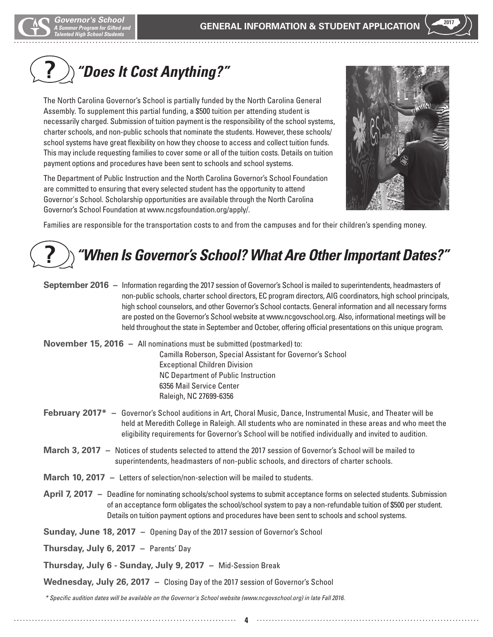#### *"Does It Cost Anything?"* **?**

The North Carolina Governor's School is partially funded by the North Carolina General Assembly. To supplement this partial funding, a \$500 tuition per attending student is necessarily charged. Submission of tuition payment is the responsibility of the school systems, charter schools, and non-public schools that nominate the students. However, these schools/ school systems have great flexibility on how they choose to access and collect tuition funds. This may include requesting families to cover some or all of the tuition costs. Details on tuition payment options and procedures have been sent to schools and school systems.

The Department of Public Instruction and the North Carolina Governor's School Foundation are committed to ensuring that every selected student has the opportunity to attend Governor's School. Scholarship opportunities are available through the North Carolina Governor's School Foundation at www.ncgsfoundation.org/apply/.



Families are responsible for the transportation costs to and from the campuses and for their children's spending money.

#### *"When Is Governor's School? What Are Other Important Dates?"* **?**

| September 2016 - Information regarding the 2017 session of Governor's School is mailed to superintendents, headmasters of |
|---------------------------------------------------------------------------------------------------------------------------|
| non-public schools, charter school directors, EC program directors, AIG coordinators, high school principals,             |
| high school counselors, and other Governor's School contacts. General information and all necessary forms                 |
| are posted on the Governor's School website at www.ncgovschool.org. Also, informational meetings will be                  |
| held throughout the state in September and October, offering official presentations on this unique program.               |

**November 15, 2016 –** All nominations must be submitted (postmarked) to: Camilla Roberson, Special Assistant for Governor's School Exceptional Children Division NC Department of Public Instruction 6356 Mail Service Center Raleigh, NC 27699-6356

- **February 2017\*** Governor's School auditions in Art, Choral Music, Dance, Instrumental Music, and Theater will be held at Meredith College in Raleigh. All students who are nominated in these areas and who meet the eligibility requirements for Governor's School will be notified individually and invited to audition.
- **March 3, 2017** Notices of students selected to attend the 2017 session of Governor's School will be mailed to superintendents, headmasters of non-public schools, and directors of charter schools.
- **March 10, 2017** Letters of selection/non-selection will be mailed to students.
- **April 7, 2017** Deadline for nominating schools/school systems to submit acceptance forms on selected students. Submission of an acceptance form obligates the school/school system to pay a non-refundable tuition of \$500 per student. Details on tuition payment options and procedures have been sent to schools and school systems.
- **Sunday, June 18, 2017** Opening Day of the 2017 session of Governor's School
- **Thursday, July 6, 2017** Parents' Day

**Thursday, July 6 - Sunday, July 9, 2017 –** Mid-Session Break

**Wednesday, July 26, 2017 –** Closing Day of the 2017 session of Governor's School

*\* Specific audition dates will be available on the Governor's School website (www.ncgovschool.org) in late Fall 2016.*

**4**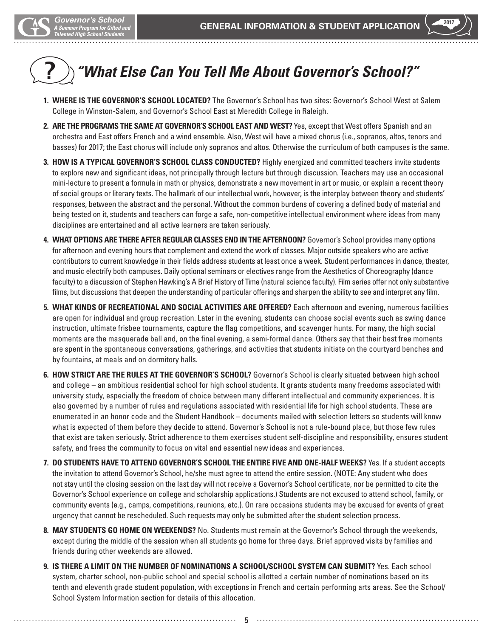# *"What Else Can You Tell Me About Governor's School?"* **?**

- **1. WHERE IS THE GOVERNOR'S SCHOOL LOCATED?** The Governor's School has two sites: Governor's School West at Salem College in Winston-Salem, and Governor's School East at Meredith College in Raleigh.
- **2. ARE THE PROGRAMS THE SAME AT GOVERNOR'S SCHOOL EAST AND WEST?** Yes, except that West offers Spanish and an orchestra and East offers French and a wind ensemble. Also, West will have a mixed chorus (i.e., sopranos, altos, tenors and basses) for 2017; the East chorus will include only sopranos and altos. Otherwise the curriculum of both campuses is the same.
- **3. HOW IS A TYPICAL GOVERNOR'S SCHOOL CLASS CONDUCTED?** Highly energized and committed teachers invite students to explore new and significant ideas, not principally through lecture but through discussion. Teachers may use an occasional mini-lecture to present a formula in math or physics, demonstrate a new movement in art or music, or explain a recent theory of social groups or literary texts. The hallmark of our intellectual work, however, is the interplay between theory and students' responses, between the abstract and the personal. Without the common burdens of covering a defined body of material and being tested on it, students and teachers can forge a safe, non-competitive intellectual environment where ideas from many disciplines are entertained and all active learners are taken seriously.
- **4. WHAT OPTIONS ARE THERE AFTER REGULAR CLASSES END IN THE AFTERNOON?** Governor's School provides many options for afternoon and evening hours that complement and extend the work of classes. Major outside speakers who are active contributors to current knowledge in their fields address students at least once a week. Student performances in dance, theater, and music electrify both campuses. Daily optional seminars or electives range from the Aesthetics of Choreography (dance faculty) to a discussion of Stephen Hawking's A Brief History of Time (natural science faculty). Film series offer not only substantive films, but discussions that deepen the understanding of particular offerings and sharpen the ability to see and interpret any film.
- **5. WHAT KINDS OF RECREATIONAL AND SOCIAL ACTIVITIES ARE OFFERED?** Each afternoon and evening, numerous facilities are open for individual and group recreation. Later in the evening, students can choose social events such as swing dance instruction, ultimate frisbee tournaments, capture the flag competitions, and scavenger hunts. For many, the high social moments are the masquerade ball and, on the final evening, a semi-formal dance. Others say that their best free moments are spent in the spontaneous conversations, gatherings, and activities that students initiate on the courtyard benches and by fountains, at meals and on dormitory halls.
- **6. HOW STRICT ARE THE RULES AT THE GOVERNOR'S SCHOOL?** Governor's School is clearly situated between high school and college – an ambitious residential school for high school students. It grants students many freedoms associated with university study, especially the freedom of choice between many different intellectual and community experiences. It is also governed by a number of rules and regulations associated with residential life for high school students. These are enumerated in an honor code and the Student Handbook – documents mailed with selection letters so students will know what is expected of them before they decide to attend. Governor's School is not a rule-bound place, but those few rules that exist are taken seriously. Strict adherence to them exercises student self-discipline and responsibility, ensures student safety, and frees the community to focus on vital and essential new ideas and experiences.
- **7. DO STUDENTS HAVE TO ATTEND GOVERNOR'S SCHOOL THE ENTIRE FIVE AND ONE-HALF WEEKS?** Yes. If a student accepts the invitation to attend Governor's School, he/she must agree to attend the entire session. (NOTE: Any student who does not stay until the closing session on the last day will not receive a Governor's School certificate, nor be permitted to cite the Governor's School experience on college and scholarship applications.) Students are not excused to attend school, family, or community events (e.g., camps, competitions, reunions, etc.). On rare occasions students may be excused for events of great urgency that cannot be rescheduled. Such requests may only be submitted after the student selection process.
- **8. MAY STUDENTS GO HOME ON WEEKENDS?** No. Students must remain at the Governor's School through the weekends, except during the middle of the session when all students go home for three days. Brief approved visits by families and friends during other weekends are allowed.
- **9. IS THERE A LIMIT ON THE NUMBER OF NOMINATIONS A SCHOOL/SCHOOL SYSTEM CAN SUBMIT?** Yes. Each school system, charter school, non-public school and special school is allotted a certain number of nominations based on its tenth and eleventh grade student population, with exceptions in French and certain performing arts areas. See the School/ School System Information section for details of this allocation.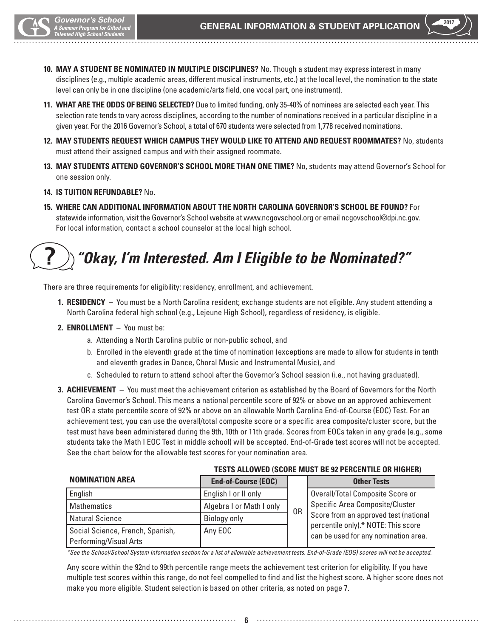

- **10. MAY A STUDENT BE NOMINATED IN MULTIPLE DISCIPLINES?** No. Though a student may express interest in many disciplines (e.g., multiple academic areas, different musical instruments, etc.) at the local level, the nomination to the state level can only be in one discipline (one academic/arts field, one vocal part, one instrument).
- **11. WHAT ARE THE ODDS OF BEING SELECTED?** Due to limited funding, only 35-40% of nominees are selected each year. This selection rate tends to vary across disciplines, according to the number of nominations received in a particular discipline in a given year. For the 2016 Governor's School, a total of 670 students were selected from 1,778 received nominations.
- **12. MAY STUDENTS REQUEST WHICH CAMPUS THEY WOULD LIKE TO ATTEND AND REQUEST ROOMMATES?** No, students must attend their assigned campus and with their assigned roommate.
- **13. MAY STUDENTS ATTEND GOVERNOR'S SCHOOL MORE THAN ONE TIME?** No, students may attend Governor's School for one session only.
- **14. IS TUITION REFUNDABLE?** No.
- **15. WHERE CAN ADDITIONAL INFORMATION ABOUT THE NORTH CAROLINA GOVERNOR'S SCHOOL BE FOUND?** For statewide information, visit the Governor's School website at www.ncgovschool.org or email ncgovschool@dpi.nc.gov. For local information, contact a school counselor at the local high school.

# *"Okay, I'm Interested. Am I Eligible to be Nominated?"* **?**

There are three requirements for eligibility: residency, enrollment, and achievement.

- **1. RESIDENCY** You must be a North Carolina resident; exchange students are not eligible. Any student attending a North Carolina federal high school (e.g., Lejeune High School), regardless of residency, is eligible.
- **2. ENROLLMENT** You must be:
	- a.Attending a North Carolina public or non-public school, and
	- b.Enrolled in the eleventh grade at the time of nomination (exceptions are made to allow for students in tenth and eleventh grades in Dance, Choral Music and Instrumental Music), and
	- c.Scheduled to return to attend school after the Governor's School session (i.e., not having graduated).
- **3. ACHIEVEMENT** You must meet the achievement criterion as established by the Board of Governors for the North Carolina Governor's School. This means a national percentile score of 92% or above on an approved achievement test OR a state percentile score of 92% or above on an allowable North Carolina End-of-Course (EOC) Test. For an achievement test, you can use the overall/total composite score or a specific area composite/cluster score, but the test must have been administered during the 9th, 10th or 11th grade. Scores from EOCs taken in any grade (e.g., some students take the Math I EOC Test in middle school) will be accepted. End-of-Grade test scores will not be accepted. See the chart below for the allowable test scores for your nomination area.

| <b>NOMINATION AREA</b>                                     | <b>End-of-Course (EOC)</b> |    | <b>Other Tests</b>                                                          |
|------------------------------------------------------------|----------------------------|----|-----------------------------------------------------------------------------|
| English                                                    | English I or II only       |    | Overall/Total Composite Score or                                            |
| <b>Mathematics</b>                                         | Algebra I or Math I only   | 0R | Specific Area Composite/Cluster                                             |
| <b>Natural Science</b>                                     | Biology only               |    | Score from an approved test (national                                       |
| Social Science, French, Spanish,<br>Performing/Visual Arts | Any EOC                    |    | percentile only).* NOTE: This score<br>can be used for any nomination area. |

#### **TESTS ALLOWED (SCORE MUST BE 92 PERCENTILE OR HIGHER)**

*\*See the School/School System Information section for a list of allowable achievement tests. End-of-Grade (EOG) scores will not be accepted.*

 Any score within the 92nd to 99th percentile range meets the achievement test criterion for eligibility. If you have multiple test scores within this range, do not feel compelled to find and list the highest score. A higher score does not make you more eligible. Student selection is based on other criteria, as noted on page 7.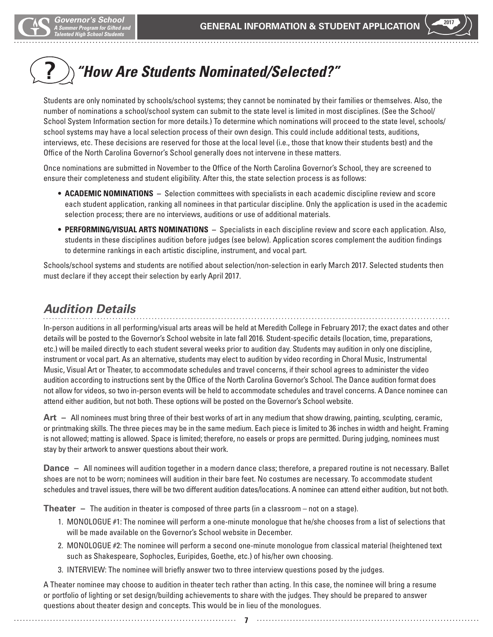# *"How Are Students Nominated/Selected?"* **?**

Students are only nominated by schools/school systems; they cannot be nominated by their families or themselves. Also, the number of nominations a school/school system can submit to the state level is limited in most disciplines. (See the School/ School System Information section for more details.) To determine which nominations will proceed to the state level, schools/ school systems may have a local selection process of their own design. This could include additional tests, auditions, interviews, etc. These decisions are reserved for those at the local level (i.e., those that know their students best) and the Office of the North Carolina Governor's School generally does not intervene in these matters.

Once nominations are submitted in November to the Office of the North Carolina Governor's School, they are screened to ensure their completeness and student eligibility. After this, the state selection process is as follows:

- **ACADEMIC NOMINATIONS** Selection committees with specialists in each academic discipline review and score each student application, ranking all nominees in that particular discipline. Only the application is used in the academic selection process; there are no interviews, auditions or use of additional materials.
- **PERFORMING/VISUAL ARTS NOMINATIONS** Specialists in each discipline review and score each application. Also, students in these disciplines audition before judges (see below). Application scores complement the audition findings to determine rankings in each artistic discipline, instrument, and vocal part.

Schools/school systems and students are notified about selection/non-selection in early March 2017. Selected students then must declare if they accept their selection by early April 2017.

# *Audition Details*

In-person auditions in all performing/visual arts areas will be held at Meredith College in February 2017; the exact dates and other details will be posted to the Governor's School website in late fall 2016. Student-specific details (location, time, preparations, etc.) will be mailed directly to each student several weeks prior to audition day. Students may audition in only one discipline, instrument or vocal part. As an alternative, students may elect to audition by video recording in Choral Music, Instrumental Music, Visual Art or Theater, to accommodate schedules and travel concerns, if their school agrees to administer the video audition according to instructions sent by the Office of the North Carolina Governor's School. The Dance audition format does not allow for videos, so two in-person events will be held to accommodate schedules and travel concerns. A Dance nominee can attend either audition, but not both. These options will be posted on the Governor's School website.

**Art –** All nominees must bring three of their best works of art in any medium that show drawing, painting, sculpting, ceramic, or printmaking skills. The three pieces may be in the same medium. Each piece is limited to 36 inches in width and height. Framing is not allowed; matting is allowed. Space is limited; therefore, no easels or props are permitted. During judging, nominees must stay by their artwork to answer questions about their work.

**Dance –** All nominees will audition together in a modern dance class; therefore, a prepared routine is not necessary. Ballet shoes are not to be worn; nominees will audition in their bare feet. No costumes are necessary. To accommodate student schedules and travel issues, there will be two different audition dates/locations. A nominee can attend either audition, but not both.

**Theater –** The audition in theater is composed of three parts (in a classroom – not on a stage).

- 1. MONOLOGUE #1: The nominee will perform a one-minute monologue that he/she chooses from a list of selections that will be made available on the Governor's School website in December.
- 2. MONOLOGUE #2: The nominee will perform a second one-minute monologue from classical material (heightened text such as Shakespeare, Sophocles, Euripides, Goethe, etc.) of his/her own choosing.
- 3. INTERVIEW: The nominee will briefly answer two to three interview questions posed by the judges.

A Theater nominee may choose to audition in theater tech rather than acting. In this case, the nominee will bring a resume or portfolio of lighting or set design/building achievements to share with the judges. They should be prepared to answer questions about theater design and concepts. This would be in lieu of the monologues.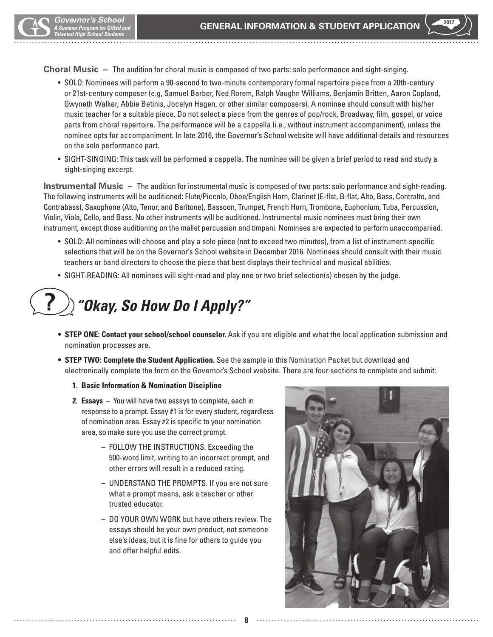**Choral Music –** The audition for choral music is composed of two parts: solo performance and sight-singing.

- SOLO: Nominees will perform a 90-second to two-minute contemporary formal repertoire piece from a 20th-century or 21st-century composer (e.g, Samuel Barber, Ned Rorem, Ralph Vaughn Williams, Benjamin Britten, Aaron Copland, Gwyneth Walker, Abbie Betinis, Jocelyn Hagen, or other similar composers). A nominee should consult with his/her music teacher for a suitable piece. Do not select a piece from the genres of pop/rock, Broadway, film, gospel, or voice parts from choral repertoire. The performance will be a cappella (i.e., without instrument accompaniment), unless the nominee opts for accompaniment. In late 2016, the Governor's School website will have additional details and resources on the solo performance part.
- SIGHT-SINGING: This task will be performed a cappella. The nominee will be given a brief period to read and study a sight-singing excerpt.

**Instrumental Music –** The audition for instrumental music is composed of two parts: solo performance and sight-reading. The following instruments will be auditioned: Flute/Piccolo, Oboe/English Horn, Clarinet (E-flat, B-flat, Alto, Bass, Contralto, and Contrabass), Saxophone (Alto, Tenor, and Baritone), Bassoon, Trumpet, French Horn, Trombone, Euphonium, Tuba, Percussion, Violin, Viola, Cello, and Bass. No other instruments will be auditioned. Instrumental music nominees must bring their own instrument, except those auditioning on the mallet percussion and timpani. Nominees are expected to perform unaccompanied.

- SOLO: All nominees will choose and play a solo piece (not to exceed two minutes), from a list of instrument-specific selections that will be on the Governor's School website in December 2016. Nominees should consult with their music teachers or band directors to choose the piece that best displays their technical and musical abilities.
- SIGHT-READING: All nominees will sight-read and play one or two brief selection(s) chosen by the judge.

## *"Okay, So How Do I Apply?"* **?**

- **STEP ONE: Contact your school/school counselor.** Ask if you are eligible and what the local application submission and nomination processes are.
- **STEP TWO: Complete the Student Application.** See the sample in this Nomination Packet but download and electronically complete the form on the Governor's School website. There are four sections to complete and submit:

- **1. Basic Information & Nomination Discipline**
- **2. Essays –** You will have two essays to complete, each in response to a prompt. Essay #1 is for every student, regardless of nomination area. Essay #2 is specific to your nomination area, so make sure you use the correct prompt.
	- FOLLOW THE INSTRUCTIONS. Exceeding the 500-word limit, writing to an incorrect prompt, and other errors will result in a reduced rating.
	- UNDERSTAND THE PROMPTS. If you are not sure what a prompt means, ask a teacher or other trusted educator.
	- DO YOUR OWN WORK but have others review. The essays should be your own product, not someone else's ideas, but it is fine for others to guide you and offer helpful edits.

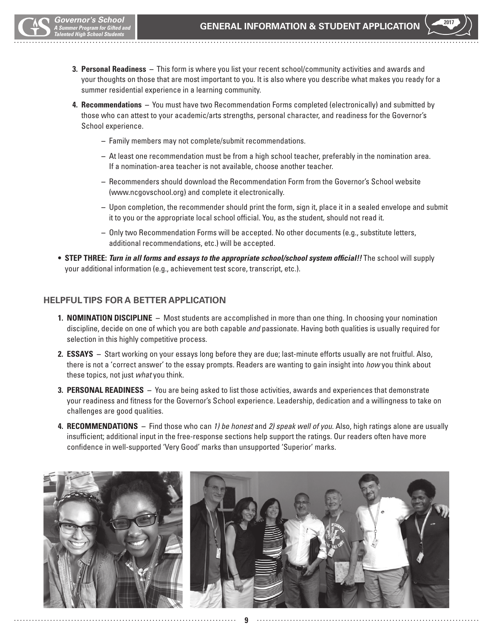- **3. Personal Readiness –** This form is where you list your recent school/community activities and awards and your thoughts on those that are most important to you. It is also where you describe what makes you ready for a summer residential experience in a learning community.
- **4. Recommendations –** You must have two Recommendation Forms completed (electronically) and submitted by those who can attest to your academic/arts strengths, personal character, and readiness for the Governor's School experience.
	- Family members may not complete/submit recommendations.
	- At least one recommendation must be from a high school teacher, preferably in the nomination area. If a nomination-area teacher is not available, choose another teacher.
	- Recommenders should download the Recommendation Form from the Governor's School website (www.ncgovschool.org) and complete it electronically.
	- Upon completion, the recommender should print the form, sign it, place it in a sealed envelope and submit it to you or the appropriate local school official. You, as the student, should not read it.
	- Only two Recommendation Forms will be accepted. No other documents (e.g., substitute letters, additional recommendations, etc.) will be accepted.
- **STEP THREE:** *Turn in all forms and essays to the appropriate school/school system official!!* The school will supply your additional information (e.g., achievement test score, transcript, etc.).

#### **HELPFUL TIPS FOR A BETTER APPLICATION**

- **1. NOMINATION DISCIPLINE** Most students are accomplished in more than one thing. In choosing your nomination discipline, decide on one of which you are both capable *and* passionate. Having both qualities is usually required for selection in this highly competitive process.
- **2. ESSAYS** Start working on your essays long before they are due; last-minute efforts usually are not fruitful. Also, there is not a 'correct answer' to the essay prompts. Readers are wanting to gain insight into *how* you think about these topics, not just *what* you think.
- **3. PERSONAL READINESS** You are being asked to list those activities, awards and experiences that demonstrate your readiness and fitness for the Governor's School experience. Leadership, dedication and a willingness to take on challenges are good qualities.
- **4. RECOMMENDATIONS** Find those who can *1) be honest* and *2) speak well of you.* Also, high ratings alone are usually insufficient; additional input in the free-response sections help support the ratings. Our readers often have more confidence in well-supported 'Very Good' marks than unsupported 'Superior' marks.

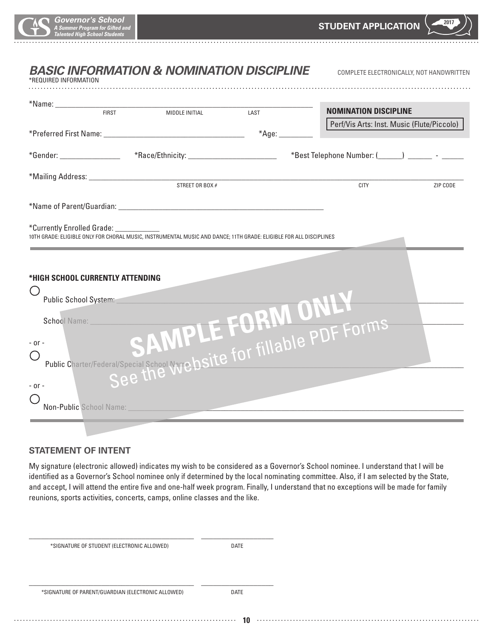| *REQUIRED INFORMATION                   |              | <b>BASIC INFORMATION &amp; NOMINATION DISCIPLINE</b>                                                               |                 | COMPLETE ELECTRONICALLY, NOT HANDWRITTEN                                                                             |          |
|-----------------------------------------|--------------|--------------------------------------------------------------------------------------------------------------------|-----------------|----------------------------------------------------------------------------------------------------------------------|----------|
|                                         | <b>FIRST</b> | MIDDLE INITIAL                                                                                                     | LAST            | <b>NOMINATION DISCIPLINE</b>                                                                                         |          |
|                                         |              |                                                                                                                    | $*$ Age: $\_\_$ | Perf/Vis Arts: Inst. Music (Flute/Piccolo)                                                                           |          |
|                                         |              |                                                                                                                    |                 | *Gender: __________________ *Race/Ethnicity: ______________________ *Best Telephone Number: (_____) _______ - ______ |          |
|                                         |              | STREET OR BOX $#$                                                                                                  |                 | CITY                                                                                                                 | ZIP CODE |
|                                         |              |                                                                                                                    |                 |                                                                                                                      |          |
| *Currently Enrolled Grade: ____________ |              | 10TH GRADE: ELIGIBLE ONLY FOR CHORAL MUSIC, INSTRUMENTAL MUSIC AND DANCE; 11TH GRADE: ELIGIBLE FOR ALL DISCIPLINES |                 |                                                                                                                      |          |
| *HIGH SCHOOL CURRENTLY ATTENDING        |              |                                                                                                                    |                 |                                                                                                                      |          |
| $(\quad)$                               |              |                                                                                                                    |                 |                                                                                                                      |          |
|                                         |              |                                                                                                                    |                 |                                                                                                                      |          |
| $-$ or $-$                              |              |                                                                                                                    |                 | Public Charter/Federal/Special School Nyrehsite for fillable PDF Forms                                               |          |
| $-$ or $-$<br>Non-Public School Name:   |              |                                                                                                                    |                 |                                                                                                                      |          |

#### **STATEMENT OF INTENT**

My signature (electronic allowed) indicates my wish to be considered as a Governor's School nominee. I understand that I will be identified as a Governor's School nominee only if determined by the local nominating committee. Also, if I am selected by the State, and accept, I will attend the entire five and one-half week program. Finally, I understand that no exceptions will be made for family reunions, sports activities, concerts, camps, online classes and the like.

| *SIGNATURE OF STUDENT (ELECTRONIC ALLOWED) | DATE |
|--------------------------------------------|------|
|                                            |      |

\_\_\_\_\_\_\_\_\_\_\_\_\_\_\_\_\_\_\_\_\_\_\_\_\_\_\_\_\_\_\_\_\_\_\_\_\_\_\_\_\_ \_\_\_\_\_\_\_\_\_\_\_\_\_\_\_\_\_\_

\_\_\_\_\_\_\_\_\_\_\_\_\_\_\_\_\_\_\_\_\_\_\_\_\_\_\_\_\_\_\_\_\_\_\_\_\_\_\_\_\_ \_\_\_\_\_\_\_\_\_\_\_\_\_\_\_\_\_\_

\*SIGNATURE OF PARENT/GUARDIAN (ELECTRONIC ALLOWED) DATE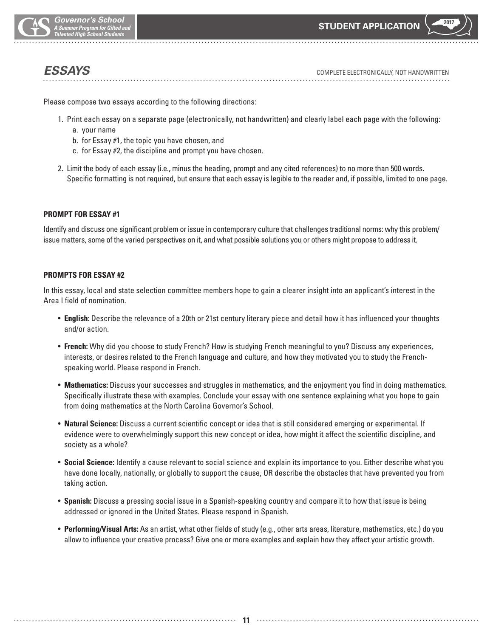

*ESSAYS* COMPLETE ELECTRONICALLY, NOT HANDWRITTEN

Please compose two essays according to the following directions:

- 1. Print each essay on a separate page (electronically, not handwritten) and clearly label each page with the following: a. your name
	- b. for Essay #1, the topic you have chosen, and
	- c. for Essay #2, the discipline and prompt you have chosen.
- 2. Limit the body of each essay (i.e., minus the heading, prompt and any cited references) to no more than 500 words. Specific formatting is not required, but ensure that each essay is legible to the reader and, if possible, limited to one page.

#### **PROMPT FOR ESSAY #1**

Identify and discuss one significant problem or issue in contemporary culture that challenges traditional norms: why this problem/ issue matters, some of the varied perspectives on it, and what possible solutions you or others might propose to address it.

#### **PROMPTS FOR ESSAY #2**

In this essay, local and state selection committee members hope to gain a clearer insight into an applicant's interest in the Area I field of nomination.

- **English:** Describe the relevance of a 20th or 21st century literary piece and detail how it has influenced your thoughts and/or action.
- **French:** Why did you choose to study French? How is studying French meaningful to you? Discuss any experiences, interests, or desires related to the French language and culture, and how they motivated you to study the Frenchspeaking world. Please respond in French.
- **Mathematics:** Discuss your successes and struggles in mathematics, and the enjoyment you find in doing mathematics. Specifically illustrate these with examples. Conclude your essay with one sentence explaining what you hope to gain from doing mathematics at the North Carolina Governor's School.
- **Natural Science:** Discuss a current scientific concept or idea that is still considered emerging or experimental. If evidence were to overwhelmingly support this new concept or idea, how might it affect the scientific discipline, and society as a whole?
- **Social Science:** Identify a cause relevant to social science and explain its importance to you. Either describe what you have done locally, nationally, or globally to support the cause, OR describe the obstacles that have prevented you from taking action.
- **Spanish:** Discuss a pressing social issue in a Spanish-speaking country and compare it to how that issue is being addressed or ignored in the United States. Please respond in Spanish.
- **Performing/Visual Arts:** As an artist, what other fields of study (e.g., other arts areas, literature, mathematics, etc.) do you allow to influence your creative process? Give one or more examples and explain how they affect your artistic growth.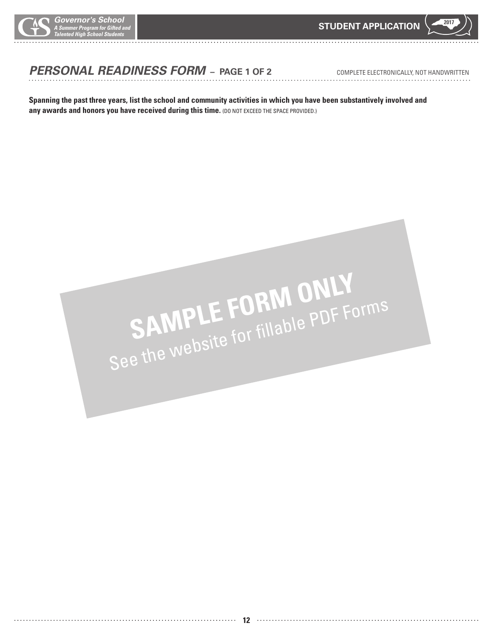

# *PERSONAL READINESS FORM* **– PAGE 1 OF 2**COMPLETE ELECTRONICALLY, NOT HANDWRITTEN

**Spanning the past three years, list the school and community activities in which you have been substantively involved and**  any awards and honors you have received during this time. (DO NOT EXCEED THE SPACE PROVIDED.)

# SAMPLE FORM ONLY<br>See the website for fillable PDF Forms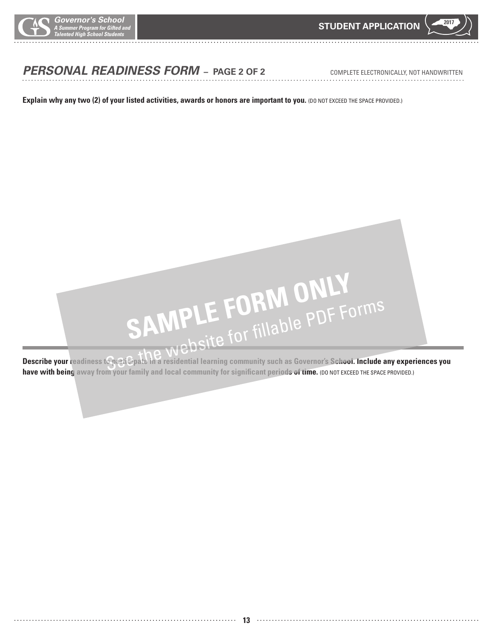

# *PERSONAL READINESS FORM* **– PAGE 2 OF 2**COMPLETE ELECTRONICALLY, NOT HANDWRITTEN

**Explain why any two (2) of your listed activities, awards or honors are important to you.** (DO NOT EXCEED THE SPACE PROVIDED.)



have with being away from your family and local community for significant periods of time. (DO NOT EXCEED THE SPACE PROVIDED.)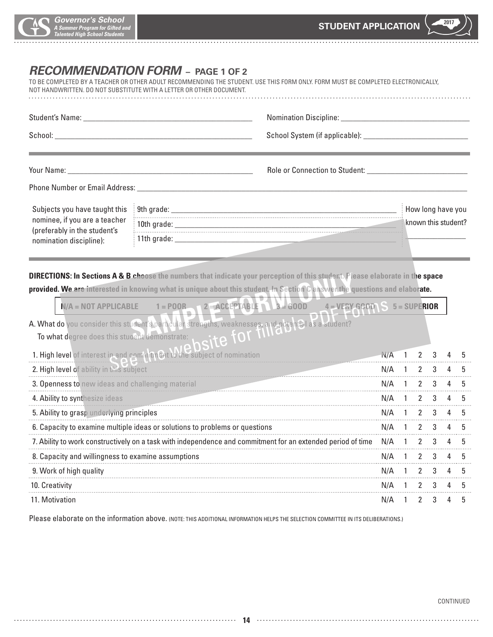

# *RECOMMENDATION FORM* **– PAGE 1 OF 2**

TO BE COMPLETED BY A TEACHER OR OTHER ADULT RECOMMENDING THE STUDENT. USE THIS FORM ONLY. FORM MUST BE COMPLETED ELECTRONICALLY, NOT HANDWRITTEN. DO NOT SUBSTITUTE WITH A LETTER OR OTHER DOCUMENT.

|                                                         |                                                                                                                                                                                                                                                        | Role or Connection to Student: __________________ |               |  |             |                     |                |    |
|---------------------------------------------------------|--------------------------------------------------------------------------------------------------------------------------------------------------------------------------------------------------------------------------------------------------------|---------------------------------------------------|---------------|--|-------------|---------------------|----------------|----|
|                                                         |                                                                                                                                                                                                                                                        |                                                   |               |  |             |                     |                |    |
| Subjects you have taught this                           |                                                                                                                                                                                                                                                        |                                                   |               |  |             | How long have you   |                |    |
| nominee, if you are a teacher                           |                                                                                                                                                                                                                                                        |                                                   |               |  |             | known this student? |                |    |
| (preferably in the student's<br>nomination discipline): |                                                                                                                                                                                                                                                        |                                                   |               |  |             |                     |                |    |
|                                                         | $N/A = NOT APPLICATIONE$ 1 = POOR 2 = ACCEPTABLE 3 = 600D 4 = VERY GOOD 5 = SUPERIOR<br>A. What do you consider this student's particular strengths, weaknesses, and potented as a student?<br>To what degree does this student demonstrate: etc. if Q |                                                   |               |  |             |                     |                |    |
|                                                         | 1. High level of interest in and commitment to the subject of nomination                                                                                                                                                                               |                                                   | $N/A$ 1 2 3   |  |             |                     |                |    |
| 2. High level of ability in this subject                |                                                                                                                                                                                                                                                        |                                                   | $N/A$ 1       |  | $2^{\circ}$ | 3                   | $\overline{4}$ |    |
|                                                         | 3. Openness to new ideas and challenging material MA 1 2 3                                                                                                                                                                                             |                                                   | N/A 1 2 3 4   |  |             |                     |                | 5  |
|                                                         | 4. Ability to synthesize ideas                                                                                                                                                                                                                         |                                                   | N/A 1 2 3 4 5 |  |             |                     |                |    |
| 5. Ability to grasp underlying principles               |                                                                                                                                                                                                                                                        |                                                   | $N/A$ 1 2 3   |  |             |                     |                | 5  |
|                                                         | 6. Capacity to examine multiple ideas or solutions to problems or questions M/A 1 2 3 4 5                                                                                                                                                              |                                                   |               |  |             |                     |                |    |
|                                                         | 7. Ability to work constructively on a task with independence and commitment for an extended period of time N/A 1 2 3 4                                                                                                                                |                                                   |               |  |             |                     |                | 5  |
|                                                         |                                                                                                                                                                                                                                                        |                                                   | N/A 1 2 3 4   |  |             |                     |                |    |
|                                                         | 9. Work of high quality                                                                                                                                                                                                                                |                                                   | N/A 1 2 3 4   |  |             |                     |                | 5  |
| 10. Creativity                                          |                                                                                                                                                                                                                                                        |                                                   | $N/A$ 1 2 3 4 |  |             |                     |                | .5 |
| 11. Motivation                                          |                                                                                                                                                                                                                                                        |                                                   |               |  |             |                     | $N/A$ 1 2 3 4  | 5  |

Please elaborate on the information above. (NOTE: THIS ADDITIONAL INFORMATION HELPS THE SELECTION COMMITTEE IN ITS DELIBERATIONS.)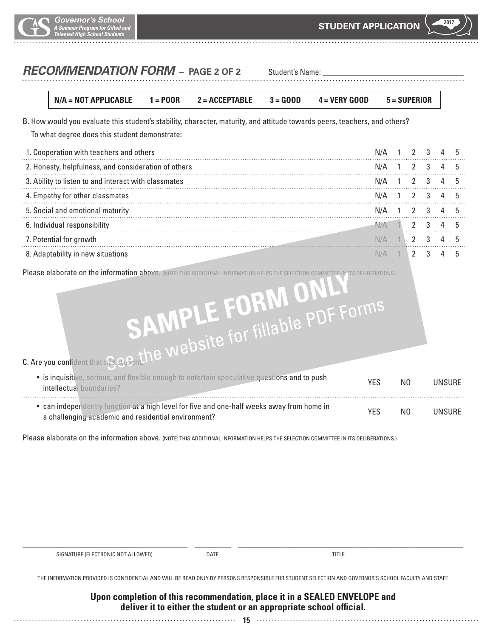

# **RECOMMENDATION FORM** – PAGE 2 OF 2 Student's Name:

**N/A = NOT APPLICABLE 1 = POOR 2 = ACCEPTABLE 3 = GOOD 4 = VERY GOOD 5 = SUPERIOR**

B. How would you evaluate this student's stability, character, maturity, and attitude towards peers, teachers, and others?

To what degree does this student demonstrate:

| 1. Cooperation with teachers and others              | N/A 1 2 3 4   |  |  |  |
|------------------------------------------------------|---------------|--|--|--|
| 2. Honesty, helpfulness, and consideration of others | N/A 1 2 3 4   |  |  |  |
| 3. Ability to listen to and interact with classmates | N/A 1 2 3 4   |  |  |  |
| 4. Empathy for other classmates                      | $N/A$ 1 2 3 4 |  |  |  |
| 5. Social and emotional maturity                     | N/A 1 2 3 4   |  |  |  |
| 6. Individual responsibility                         |               |  |  |  |
| 7. Potential for growth                              |               |  |  |  |
| daptability in new situations                        |               |  |  |  |

Please elaborate on the information above. (NOTE: THIS ADDITIONAL INFORMATION HELPS THE SELECTION COMMITTEE IN ITS DELIBERATIONS.)

# **SAMPLE FORM ONLY**

C. Are you confident that this student:

| • is inquisitive, serious, and flexible enough to entertain speculative questions and to push<br>intellectual boundaries?                         | YES | N <sub>0</sub> | UNSURE |
|---------------------------------------------------------------------------------------------------------------------------------------------------|-----|----------------|--------|
| • can independently function at a high level for five and one-half weeks away from home in<br>a challenging academic and residential environment? | YFS | N <sub>0</sub> | UNSURE |

Please elaborate on the information above. (NOTE: THIS ADDITIONAL INFORMATION HELPS THE SELECTION COMMITTEE IN ITS DELIBERATIONS.)

| SIGNATURE (ELECTRONIC NOT ALLOWED) | <b>DATE</b> |  |
|------------------------------------|-------------|--|
|                                    |             |  |
|                                    |             |  |

THE INFORMATION PROVIDED IS CONFIDENTIAL AND WILL BE READ ONLY BY PERSONS RESPONSIBLE FOR STUDENT SELECTION AND GOVERNOR'S SCHOOL FACULTY AND STAFF.

#### **Upon completion of this recommendation, place it in a SEALED ENVELOPE and deliver it to either the student or an appropriate school official.**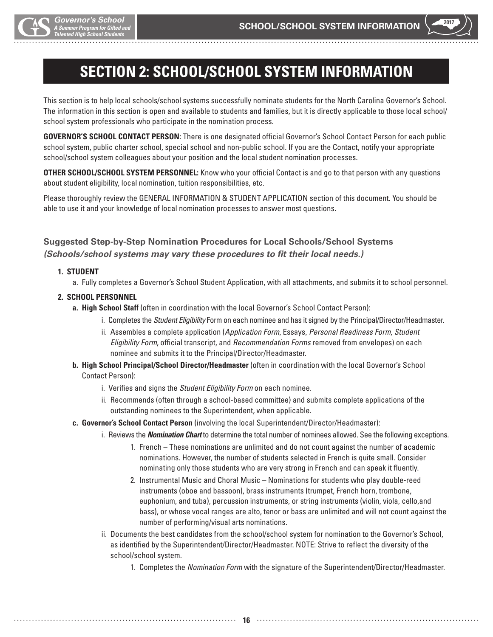

# **SECTION 2: SCHOOL/SCHOOL SYSTEM INFORMATION**

This section is to help local schools/school systems successfully nominate students for the North Carolina Governor's School. The information in this section is open and available to students and families, but it is directly applicable to those local school/ school system professionals who participate in the nomination process.

**GOVERNOR'S SCHOOL CONTACT PERSON:** There is one designated official Governor's School Contact Person for each public school system, public charter school, special school and non-public school. If you are the Contact, notify your appropriate school/school system colleagues about your position and the local student nomination processes.

**OTHER SCHOOL/SCHOOL SYSTEM PERSONNEL:** Know who your official Contact is and go to that person with any questions about student eligibility, local nomination, tuition responsibilities, etc.

Please thoroughly review the GENERAL INFORMATION & STUDENT APPLICATION section of this document. You should be able to use it and your knowledge of local nomination processes to answer most questions.

#### **Suggested Step-by-Step Nomination Procedures for Local Schools/School Systems** *(Schools/school systems may vary these procedures to fit their local needs.)*

#### **1. STUDENT**

a. Fully completes a Governor's School Student Application, with all attachments, and submits it to school personnel.

#### **2. SCHOOL PERSONNEL**

- **a. High School Staff** (often in coordination with the local Governor's School Contact Person):
	- i. Completes the *Student Eligibility* Form on each nominee and has it signed by the Principal/Director/Headmaster.
	- ii. Assembles a complete application (*Application Form*, Essays, *Personal Readiness Form*, *Student Eligibility Form*, official transcript, and *Recommendation Forms* removed from envelopes) on each nominee and submits it to the Principal/Director/Headmaster.
- **b. High School Principal/School Director/Headmaster** (often in coordination with the local Governor's School Contact Person):
	- i. Verifies and signs the *Student Eligibility Form* on each nominee.
	- ii. Recommends (often through a school-based committee) and submits complete applications of the outstanding nominees to the Superintendent, when applicable.
- **c. Governor's School Contact Person** (involving the local Superintendent/Director/Headmaster):

**16**

- i. Reviews the *Nomination Chart* to determine the total number of nominees allowed. See the following exceptions.
	- 1. French These nominations are unlimited and do not count against the number of academic nominations. However, the number of students selected in French is quite small. Consider nominating only those students who are very strong in French and can speak it fluently.
	- 2. Instrumental Music and Choral Music Nominations for students who play double-reed instruments (oboe and bassoon), brass instruments (trumpet, French horn, trombone, euphonium, and tuba), percussion instruments, or string instruments (violin, viola, cello,and bass), or whose vocal ranges are alto, tenor or bass are unlimited and will not count against the number of performing/visual arts nominations.
	- ii. Documents the best candidates from the school/school system for nomination to the Governor's School, as identified by the Superintendent/Director/Headmaster. NOTE: Strive to reflect the diversity of the school/school system.
		- 1. Completes the *Nomination Form* with the signature of the Superintendent/Director/Headmaster.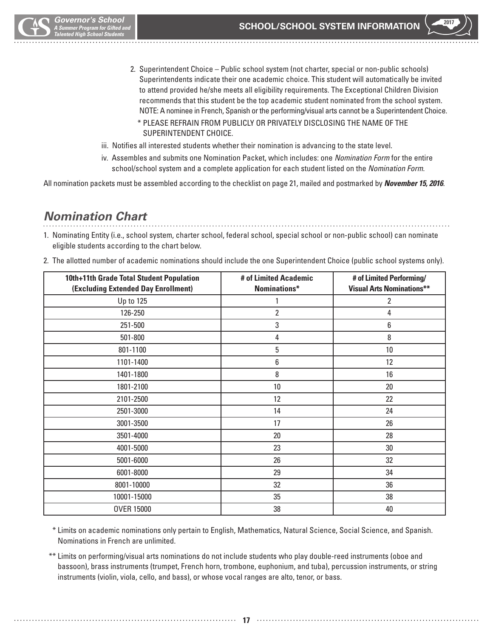

- 2. Superintendent Choice Public school system (not charter, special or non-public schools) Superintendents indicate their one academic choice. This student will automatically be invited to attend provided he/she meets all eligibility requirements. The Exceptional Children Division recommends that this student be the top academic student nominated from the school system. NOTE: A nominee in French, Spanish or the performing/visual arts cannot be a Superintendent Choice.
	- \* PLEASE REFRAIN FROM PUBLICLY OR PRIVATELY DISCLOSING THE NAME OF THE SUPERINTENDENT CHOICE.
- iii. Notifies all interested students whether their nomination is advancing to the state level.
- iv. Assembles and submits one Nomination Packet, which includes: one *Nomination Form* for the entire school/school system and a complete application for each student listed on the *Nomination Form*.

All nomination packets must be assembled according to the checklist on page 21, mailed and postmarked by *November 15, 2016*.

# *Nomination Chart*

1. Nominating Entity (i.e., school system, charter school, federal school, special school or non-public school) can nominate eligible students according to the chart below.

| 10th+11th Grade Total Student Population<br>(Excluding Extended Day Enrollment) | # of Limited Academic<br>Nominations* | # of Limited Performing/<br><b>Visual Arts Nominations**</b> |
|---------------------------------------------------------------------------------|---------------------------------------|--------------------------------------------------------------|
| Up to 125                                                                       |                                       | 2                                                            |
| 126-250                                                                         | $\overline{2}$                        | 4                                                            |
| 251-500                                                                         | 3                                     | 6                                                            |
| 501-800                                                                         | 4                                     | 8                                                            |
| 801-1100                                                                        | 5                                     | 10                                                           |
| 1101-1400                                                                       | 6                                     | 12                                                           |
| 1401-1800                                                                       | 8                                     | 16                                                           |
| 1801-2100                                                                       | 10                                    | 20                                                           |
| 2101-2500                                                                       | 12                                    | 22                                                           |
| 2501-3000                                                                       | 14                                    | 24                                                           |
| 3001-3500                                                                       | 17                                    | 26                                                           |
| 3501-4000                                                                       | $20\,$                                | 28                                                           |
| 4001-5000                                                                       | 23                                    | 30                                                           |
| 5001-6000                                                                       | 26                                    | 32                                                           |
| 6001-8000                                                                       | 29                                    | 34                                                           |
| 8001-10000                                                                      | 32                                    | 36                                                           |
| 10001-15000                                                                     | 35                                    | 38                                                           |
| <b>OVER 15000</b>                                                               | 38                                    | 40                                                           |

2. The allotted number of academic nominations should include the one Superintendent Choice (public school systems only).

\* Limits on academic nominations only pertain to English, Mathematics, Natural Science, Social Science, and Spanish. Nominations in French are unlimited.

 \*\* Limits on performing/visual arts nominations do not include students who play double-reed instruments (oboe and bassoon), brass instruments (trumpet, French horn, trombone, euphonium, and tuba), percussion instruments, or string instruments (violin, viola, cello, and bass), or whose vocal ranges are alto, tenor, or bass.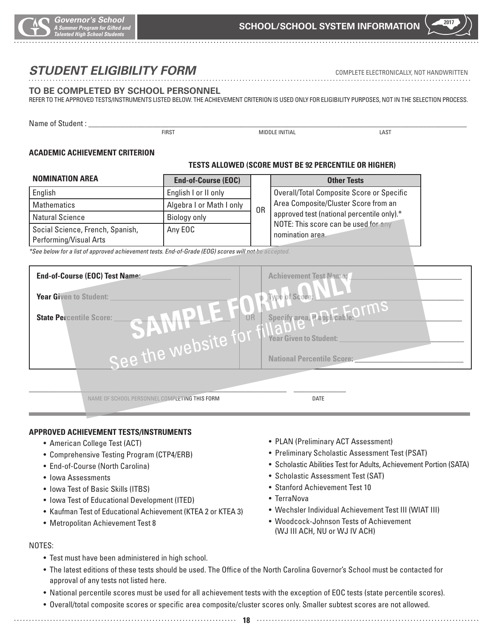

# *STUDENT ELIGIBILITY FORM* COMPLETE ELECTRONICALLY, NOT HANDWRITTEN

#### **TO BE COMPLETED BY SCHOOL PERSONNEL**

#### REFER TO THE APPROVED TESTS/INSTRUMENTS LISTED BELOW. THE ACHIEVEMENT CRITERION IS USED ONLY FOR ELIGIBILITY PURPOSES, NOT IN THE SELECTION PROCESS.

Name of Student : FIRST THE MIDDLE INITIAL THE STATE OF STATE OF STATE IN THE RESERVE OF STATE OF STATE OF STATE OF STATE OF STA

#### **ACADEMIC ACHIEVEMENT CRITERION**

#### **TESTS ALLOWED (SCORE MUST BE 92 PERCENTILE OR HIGHER)**

| <b>NOMINATION AREA</b>                                     | <b>End-of-Course (EOC)</b> |    | <b>Other Tests</b>                                       |
|------------------------------------------------------------|----------------------------|----|----------------------------------------------------------|
| English                                                    | English I or II only       |    | Overall/Total Composite Score or Specific                |
| Mathematics                                                | Algebra I or Math I only   |    | Area Composite/Cluster Score from an                     |
| Natural Science                                            | Biology only               | 0R | approved test (national percentile only).*               |
| Social Science, French, Spanish,<br>Performing/Visual Arts | Any EOC                    |    | NOTE: This score can be used for any<br>nomination area. |

*\*See below for a list of approved achievement tests. End-of-Grade (EOG) scores will not be accepted.*

| End-of-Course (EOC) Test Name:                                                      | <b>Achievement Test Name:</b>            |
|-------------------------------------------------------------------------------------|------------------------------------------|
| Year Given to Student:                                                              | Type of Score,                           |
| $\begin{array}{c} \bullet \\ \bullet \end{array}$<br><b>State Percentile Score:</b> | Specify area, it and ican le. OTMS<br>0R |
|                                                                                     | <b>Year Given to Student:</b>            |
| See the website                                                                     | <b>National Percentile Score:</b>        |
|                                                                                     |                                          |

NAME OF SCHOOL PERSONNEL COMPLETING THIS FORM **DATE** 

#### **APPROVED ACHIEVEMENT TESTS/INSTRUMENTS**

- American College Test (ACT)
- Comprehensive Testing Program (CTP4/ERB)
- End-of-Course (North Carolina)
- Iowa Assessments
- Iowa Test of Basic Skills (ITBS)
- Iowa Test of Educational Development (ITED)
- Kaufman Test of Educational Achievement (KTEA 2 or KTEA 3)
- Metropolitan Achievement Test 8
- PLAN (Preliminary ACT Assessment)
- Preliminary Scholastic Assessment Test (PSAT)
- Scholastic Abilities Test for Adults, Achievement Portion (SATA)
- Scholastic Assessment Test (SAT)
- Stanford Achievement Test 10
- TerraNova
- Wechsler Individual Achievement Test III (WIAT III)
- Woodcock-Johnson Tests of Achievement (WJ III ACH, NU or WJ IV ACH)

#### NOTES:

- Test must have been administered in high school.
- The latest editions of these tests should be used. The Office of the North Carolina Governor's School must be contacted for approval of any tests not listed here.
- National percentile scores must be used for all achievement tests with the exception of EOC tests (state percentile scores).
- Overall/total composite scores or specific area composite/cluster scores only. Smaller subtest scores are not allowed.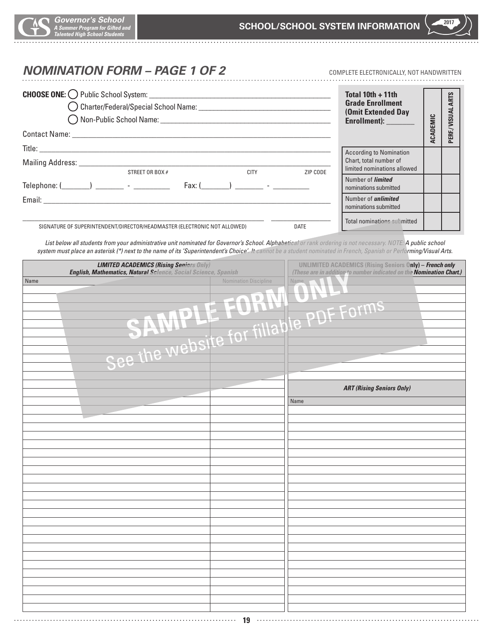$\ddotsc$ 

# **NOMINATION FORM – PAGE 1 OF 2** COMPLETE ELECTRONICALLY, NOT HANDWRITTEN

|                                                                                                                                                                                                                                | Total $10th + 11th$<br><b>Grade Enrollment</b><br>(Omit Extended Day<br>Enrollment): _______        |          | <b>ARTS</b><br>VISUAL |
|--------------------------------------------------------------------------------------------------------------------------------------------------------------------------------------------------------------------------------|-----------------------------------------------------------------------------------------------------|----------|-----------------------|
|                                                                                                                                                                                                                                |                                                                                                     | ACADEMIC | PERF./                |
| Mailing Address: Mailing Address: Mailing Address: Mailing Address: Mailing Address: Mail 1997<br><b>CITY</b><br>STREET OR BOX #                                                                                               | <b>According to Nomination</b><br>Chart, total number of<br>limited nominations allowed<br>ZIP CODE |          |                       |
| Fax: $($ $)$ $-$                                                                                                                                                                                                               | Number of <i>limited</i><br>nominations submitted                                                   |          |                       |
| Email: Email: All and the state of the state of the state of the state of the state of the state of the state of the state of the state of the state of the state of the state of the state of the state of the state of the s | Number of <i>unlimited</i><br>nominations submitted                                                 |          |                       |
| <b>DATE</b><br>SIGNATURE OF SUPERINTENDENT/DIRECTOR/HEADMASTER (ELECTRONIC NOT ALLOWED)                                                                                                                                        | Total nominations submitted                                                                         |          |                       |

*List below all students from your administrative unit nominated for Governor's School. Alphabetical or rank ordering is not necessary. NOTE: A public school system must place an asterisk (\*) next to the name of its 'Superintendent's Choice'. It cannot be a student nominated in French, Spanish or Performing/Visual Arts.* 

| Name<br>Nomination Discipline<br><b>Name</b><br>DE Forms<br>Table PI<br>See the website<br><b>ART (Rising Seniors Only)</b><br>Name<br>a sa | <b>LIMITED ACADEMICS (Rising Seniors Only)</b><br><b>English, Mathematics, Natural Science</b> , Social Science, Spanish | UNLIMITED ACADEMICS (Rising Seniors Only) - French only<br>(These are in addition to number indicated on the <b>Nomination Chart.)</b> |  |  |
|---------------------------------------------------------------------------------------------------------------------------------------------|--------------------------------------------------------------------------------------------------------------------------|----------------------------------------------------------------------------------------------------------------------------------------|--|--|
|                                                                                                                                             |                                                                                                                          |                                                                                                                                        |  |  |
|                                                                                                                                             |                                                                                                                          |                                                                                                                                        |  |  |
|                                                                                                                                             |                                                                                                                          |                                                                                                                                        |  |  |
|                                                                                                                                             |                                                                                                                          |                                                                                                                                        |  |  |
|                                                                                                                                             |                                                                                                                          |                                                                                                                                        |  |  |
|                                                                                                                                             |                                                                                                                          |                                                                                                                                        |  |  |
|                                                                                                                                             |                                                                                                                          |                                                                                                                                        |  |  |
|                                                                                                                                             |                                                                                                                          |                                                                                                                                        |  |  |
|                                                                                                                                             |                                                                                                                          |                                                                                                                                        |  |  |
|                                                                                                                                             |                                                                                                                          |                                                                                                                                        |  |  |
|                                                                                                                                             |                                                                                                                          |                                                                                                                                        |  |  |
|                                                                                                                                             |                                                                                                                          |                                                                                                                                        |  |  |
|                                                                                                                                             |                                                                                                                          |                                                                                                                                        |  |  |
|                                                                                                                                             |                                                                                                                          |                                                                                                                                        |  |  |
|                                                                                                                                             |                                                                                                                          |                                                                                                                                        |  |  |
|                                                                                                                                             |                                                                                                                          |                                                                                                                                        |  |  |
|                                                                                                                                             |                                                                                                                          |                                                                                                                                        |  |  |
|                                                                                                                                             |                                                                                                                          |                                                                                                                                        |  |  |
|                                                                                                                                             |                                                                                                                          |                                                                                                                                        |  |  |
|                                                                                                                                             |                                                                                                                          |                                                                                                                                        |  |  |
|                                                                                                                                             |                                                                                                                          |                                                                                                                                        |  |  |
|                                                                                                                                             |                                                                                                                          |                                                                                                                                        |  |  |
|                                                                                                                                             |                                                                                                                          |                                                                                                                                        |  |  |
|                                                                                                                                             |                                                                                                                          |                                                                                                                                        |  |  |
|                                                                                                                                             |                                                                                                                          |                                                                                                                                        |  |  |
|                                                                                                                                             |                                                                                                                          |                                                                                                                                        |  |  |
|                                                                                                                                             |                                                                                                                          |                                                                                                                                        |  |  |
| .<br>$\ddotsc$                                                                                                                              |                                                                                                                          | 19                                                                                                                                     |  |  |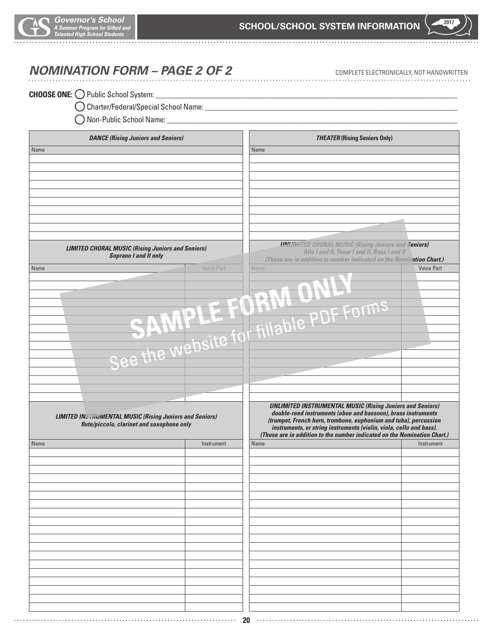

# **NOMINATION FORM – PAGE 2 OF 2** COMPLETE ELECTRONICALLY, NOT HANDWRITTEN

#### **CHOOSE ONE:**  $\bigcirc$  Public School System:

Charter/Federal/Special School Name: \_\_\_\_\_\_\_\_\_\_\_\_\_\_\_\_\_\_\_\_\_\_\_\_\_\_\_\_\_\_\_\_\_\_\_\_\_\_\_\_\_\_\_\_\_\_\_\_\_\_\_\_\_\_\_\_\_\_\_\_\_\_\_\_\_\_

 $\bigcirc$  Non-Public School Name:

|      | <b>DANCE (Rising Juniors and Seniors)</b>                      |                   | <b>THEATER (Rising Seniors Only)</b> |                                                                          |
|------|----------------------------------------------------------------|-------------------|--------------------------------------|--------------------------------------------------------------------------|
| Name |                                                                |                   | Name                                 |                                                                          |
|      |                                                                |                   |                                      |                                                                          |
|      |                                                                |                   |                                      |                                                                          |
|      |                                                                |                   |                                      |                                                                          |
|      |                                                                |                   |                                      |                                                                          |
|      |                                                                |                   |                                      |                                                                          |
|      |                                                                |                   |                                      |                                                                          |
|      |                                                                |                   |                                      |                                                                          |
|      |                                                                |                   |                                      |                                                                          |
|      |                                                                |                   |                                      |                                                                          |
|      |                                                                |                   |                                      |                                                                          |
|      |                                                                |                   |                                      |                                                                          |
|      |                                                                |                   |                                      |                                                                          |
|      | <b>LIMITED CHORAL MUSIC (Rising Juniors and Seniors)</b>       |                   |                                      | <b>UNLIMITED CHORAL MUSIC (Rising Juniors and Seniors)</b>               |
|      | <b>Soprano I and II only</b>                                   |                   |                                      | Alto I and II, Tenor I and II, Bass I and II                             |
|      |                                                                |                   |                                      | (These are in addition to number indicated on the Nomination Chart.)     |
| Name |                                                                | <b>Voice Part</b> | Name                                 | <b>Voice Part</b>                                                        |
|      |                                                                |                   |                                      |                                                                          |
|      |                                                                |                   |                                      |                                                                          |
|      |                                                                |                   |                                      |                                                                          |
|      |                                                                |                   |                                      |                                                                          |
|      |                                                                |                   |                                      |                                                                          |
|      |                                                                |                   |                                      |                                                                          |
|      |                                                                |                   |                                      |                                                                          |
|      |                                                                |                   |                                      |                                                                          |
|      |                                                                | O                 |                                      |                                                                          |
|      |                                                                | <b>P WPDS</b>     |                                      |                                                                          |
|      |                                                                |                   |                                      |                                                                          |
|      |                                                                |                   |                                      |                                                                          |
|      |                                                                |                   |                                      |                                                                          |
|      |                                                                |                   |                                      |                                                                          |
|      |                                                                |                   |                                      |                                                                          |
|      |                                                                |                   |                                      |                                                                          |
|      |                                                                |                   |                                      |                                                                          |
|      |                                                                |                   |                                      |                                                                          |
|      |                                                                |                   |                                      | <b>UNLIMITED INSTRUMENTAL MUSIC (Rising Juniors and Seniors)</b>         |
|      |                                                                |                   |                                      | double-reed instruments (oboe and bassoon), brass instruments            |
|      | <b>LIMITED INSTRUMENTAL MUSIC (Rising Juniors and Seniors)</b> |                   |                                      | (trumpet, French horn, trombone, euphonium and tuba), percussion         |
|      | flute/piccolo, clarinet and saxophone only                     |                   |                                      | instruments, or string instruments (violin, viola, cello and bass).      |
|      |                                                                |                   |                                      | (These are in addition to the number indicated on the Nomination Chart.) |
| Name |                                                                | Instrument        | Name                                 | Instrument                                                               |
|      |                                                                |                   |                                      |                                                                          |
|      |                                                                |                   |                                      |                                                                          |
|      |                                                                |                   |                                      |                                                                          |
|      |                                                                |                   |                                      |                                                                          |
|      |                                                                |                   |                                      |                                                                          |
|      |                                                                |                   |                                      |                                                                          |
|      |                                                                |                   |                                      |                                                                          |
|      |                                                                |                   |                                      |                                                                          |
|      |                                                                |                   |                                      |                                                                          |
|      |                                                                |                   |                                      |                                                                          |
|      |                                                                |                   |                                      |                                                                          |
|      |                                                                |                   |                                      |                                                                          |
|      |                                                                |                   |                                      |                                                                          |
|      |                                                                |                   |                                      |                                                                          |
|      |                                                                |                   |                                      |                                                                          |
|      |                                                                |                   |                                      |                                                                          |
|      |                                                                |                   |                                      |                                                                          |
|      |                                                                |                   |                                      |                                                                          |
|      |                                                                |                   |                                      |                                                                          |
|      |                                                                |                   |                                      |                                                                          |
|      |                                                                |                   |                                      |                                                                          |